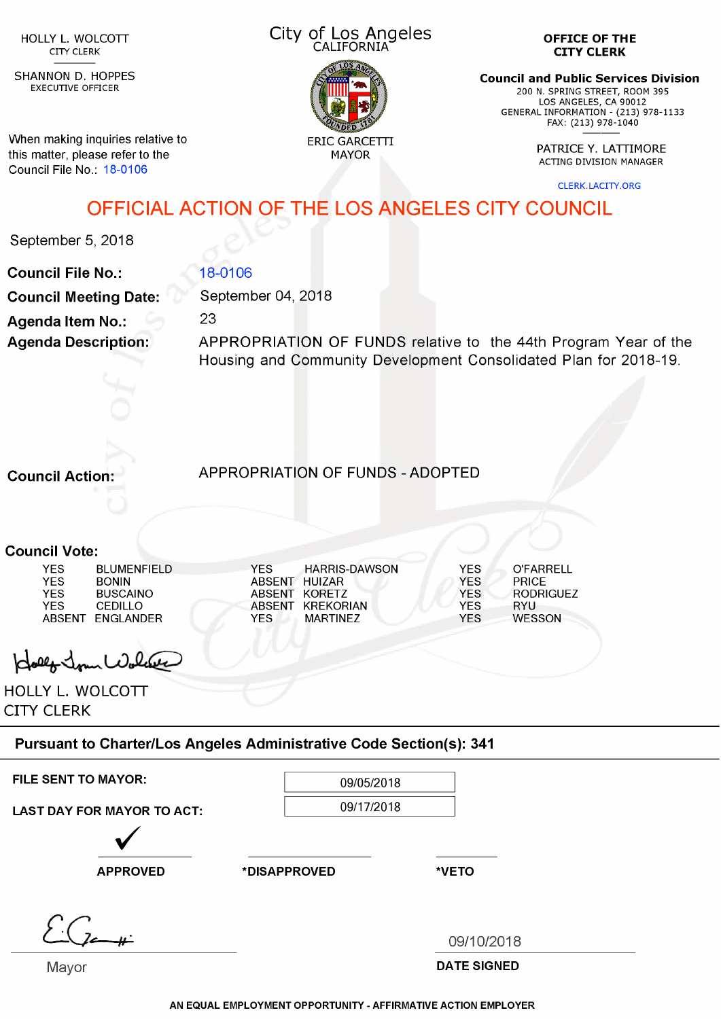CITY CLERK

SHANNON D. HOPPES EXECUTIVE OFFICER

When making inquiries relative to this matter, please refer to the Council File No.: 18-0106

## City of Los Angeles HOLLY L. WOLCOTT **CILLY OF LOS ATTACTS**



**OFFICE OF THE CITY CLERK**

**Council and Public Services Division**

200 N. SPRING STREET, ROOM 395 LOS ANGELES, CA 90012 GENERAL INFORMATION - (213) 978-1133 FAX: (213) 978-1040

PATRICE Y. LATTIMORE<br>MAYOR PATRICE Y. LATTIMORE ACTING DIVISION MANAGER

CLERK.LACITY.ORG

## OFFICIAL ACTION OF THE LOS ANGELES CITY COUNCIL

September 5, 2018

**Council File No.: Council Meeting Date: Agenda Item No.: Agenda Description:**

September 04, 2018 23

18-0106

APPROPRIATION OF FUNDS relative to the 44th Program Year of the Housing and Community Development Consolidated Plan for 2018-19.

**Council Action:** APPROPRIATION OF FUNDS - ADOPTED

**Council Vote:**

| YES           | <b>BLUMENFIELD</b> | YFS.          | <b>HARRIS-DAWSON</b> | YES        | O'FARRELL     |
|---------------|--------------------|---------------|----------------------|------------|---------------|
| YES           | <b>BONIN</b>       | ABSENT        | HUIZAR.              | YFS.       | <b>PRICE</b>  |
| YES.          | <b>BUSCAINO</b>    | ABSENT        | KORFTZ               | <b>YFS</b> | RODRIGUEZ     |
| YES.          | CEDILLO.           | <b>ABSENT</b> | KREKORIAN            | <b>YFS</b> | RYU           |
| <b>ABSENT</b> | <b>FNGLANDER</b>   | YFS           | <b>MARTINF7</b>      | YFS        | <b>WESSON</b> |
|               |                    |               |                      |            |               |

Hollo Jour Wolder

HOLLY L. WOLCOTT CITY CLERK

## **Pursuant to Charter/Los Angeles Administrative Code Section(s): 341**

FILE SENT TO MAYOR:  $09/05/2018$ 

LAST DAY FOR MAYOR TO ACT:  $09/17/2018$ 

APPROVED \*DISAPPROVED \*VETO

*■H-* 09/10/2018

Mayor **DATE SIGNED** 

**AN EQUAL EMPLOYMENT OPPORTUNITY - AFFIRMATIVE ACTION EMPLOYER**